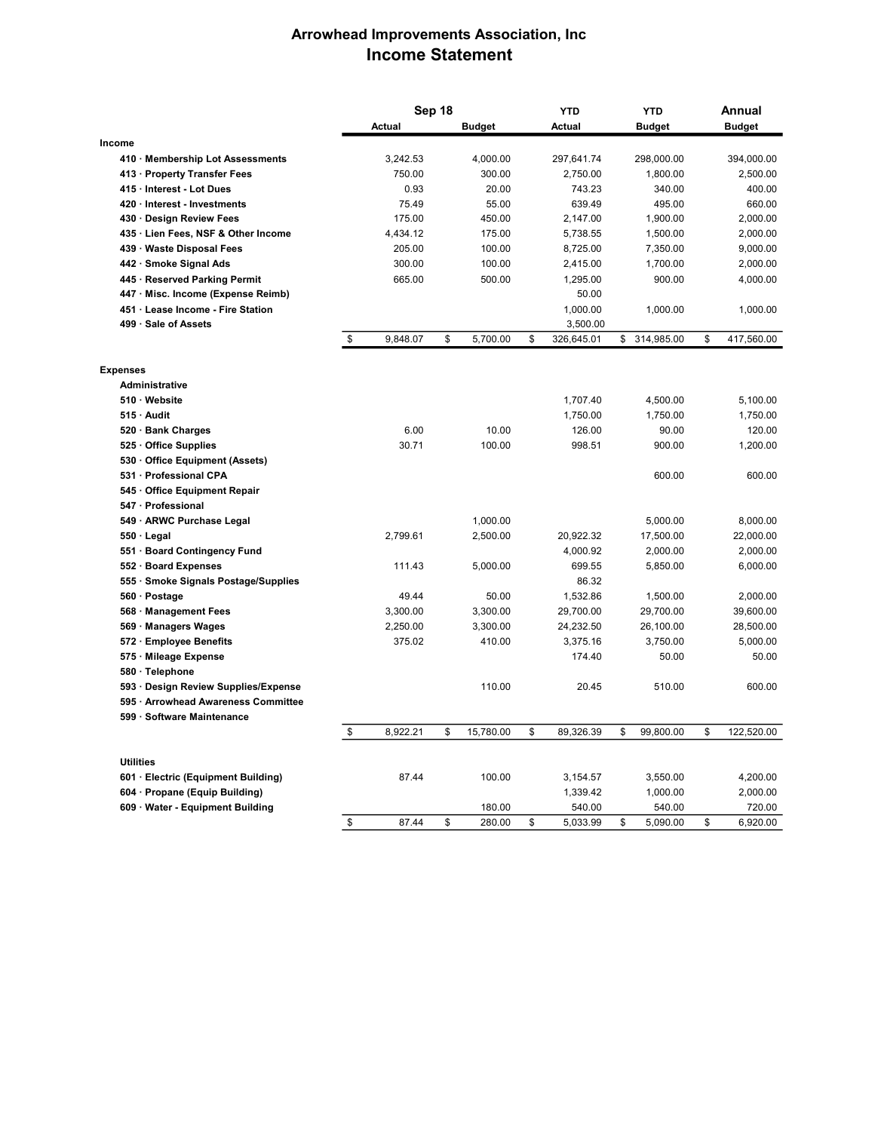## Arrowhead Improvements Association, Inc Income Statement

|                                      | Sep 18         |    |               |    | <b>YTD</b> | <b>YTD</b> |               | Annual           |
|--------------------------------------|----------------|----|---------------|----|------------|------------|---------------|------------------|
|                                      | Actual         |    | <b>Budget</b> |    | Actual     |            | <b>Budget</b> | <b>Budget</b>    |
| Income                               |                |    |               |    |            |            |               |                  |
| 410 Membership Lot Assessments       | 3,242.53       |    | 4,000.00      |    | 297,641.74 |            | 298,000.00    | 394,000.00       |
| 413 Property Transfer Fees           | 750.00         |    | 300.00        |    | 2,750.00   |            | 1,800.00      | 2,500.00         |
| 415 · Interest - Lot Dues            | 0.93           |    | 20.00         |    | 743.23     |            | 340.00        | 400.00           |
| 420 Interest - Investments           | 75.49          |    | 55.00         |    | 639.49     |            | 495.00        | 660.00           |
| 430 Design Review Fees               | 175.00         |    | 450.00        |    | 2,147.00   |            | 1,900.00      | 2,000.00         |
| 435 Lien Fees, NSF & Other Income    | 4,434.12       |    | 175.00        |    | 5,738.55   |            | 1,500.00      | 2,000.00         |
| 439 Waste Disposal Fees              | 205.00         |    | 100.00        |    | 8,725.00   |            | 7,350.00      | 9,000.00         |
| 442 · Smoke Signal Ads               | 300.00         |    | 100.00        |    | 2,415.00   |            | 1,700.00      | 2,000.00         |
| 445 · Reserved Parking Permit        | 665.00         |    | 500.00        |    | 1,295.00   |            | 900.00        | 4,000.00         |
| 447 · Misc. Income (Expense Reimb)   |                |    |               |    | 50.00      |            |               |                  |
| 451 Lease Income - Fire Station      |                |    |               |    | 1,000.00   |            | 1,000.00      | 1,000.00         |
| 499 Sale of Assets                   |                |    |               |    | 3,500.00   |            |               |                  |
|                                      | \$<br>9,848.07 | \$ | 5,700.00      | \$ | 326,645.01 |            | \$ 314,985.00 | \$<br>417,560.00 |
| <b>Expenses</b>                      |                |    |               |    |            |            |               |                  |
| <b>Administrative</b>                |                |    |               |    |            |            |               |                  |
| 510 Website                          |                |    |               |    | 1,707.40   |            | 4,500.00      | 5,100.00         |
| 515 Audit                            |                |    |               |    | 1,750.00   |            | 1,750.00      | 1,750.00         |
| 520 · Bank Charges                   | 6.00           |    | 10.00         |    | 126.00     |            | 90.00         | 120.00           |
| 525 Office Supplies                  | 30.71          |    | 100.00        |    | 998.51     |            | 900.00        | 1,200.00         |
| 530 Office Equipment (Assets)        |                |    |               |    |            |            |               |                  |
| 531 · Professional CPA               |                |    |               |    |            |            | 600.00        | 600.00           |
| 545 Office Equipment Repair          |                |    |               |    |            |            |               |                  |
| 547 · Professional                   |                |    |               |    |            |            |               |                  |
| 549 · ARWC Purchase Legal            |                |    | 1,000.00      |    |            |            | 5,000.00      | 8,000.00         |
| $550 \cdot$ Legal                    | 2,799.61       |    | 2,500.00      |    | 20,922.32  |            | 17,500.00     | 22,000.00        |
| 551 Board Contingency Fund           |                |    |               |    | 4,000.92   |            | 2,000.00      | 2,000.00         |
| 552 · Board Expenses                 | 111.43         |    | 5,000.00      |    | 699.55     |            | 5,850.00      | 6,000.00         |
| 555 Smoke Signals Postage/Supplies   |                |    |               |    | 86.32      |            |               |                  |
| 560 · Postage                        | 49.44          |    | 50.00         |    | 1,532.86   |            | 1,500.00      | 2,000.00         |
| 568 · Management Fees                | 3,300.00       |    | 3,300.00      |    | 29,700.00  |            | 29,700.00     | 39,600.00        |
| 569 Managers Wages                   | 2,250.00       |    | 3,300.00      |    | 24,232.50  |            | 26,100.00     | 28,500.00        |
| 572 · Employee Benefits              | 375.02         |    | 410.00        |    | 3,375.16   |            | 3,750.00      | 5,000.00         |
| 575 · Mileage Expense                |                |    |               |    | 174.40     |            | 50.00         | 50.00            |
| 580 Telephone                        |                |    |               |    |            |            |               |                  |
| 593 · Design Review Supplies/Expense |                |    | 110.00        |    | 20.45      |            | 510.00        | 600.00           |
| 595 · Arrowhead Awareness Committee  |                |    |               |    |            |            |               |                  |
|                                      |                |    |               |    |            |            |               |                  |
| 599 · Software Maintenance           | \$<br>8,922.21 | \$ | 15,780.00     | \$ | 89,326.39  | \$         | 99,800.00     | \$<br>122,520.00 |
|                                      |                |    |               |    |            |            |               |                  |
| <b>Utilities</b>                     |                |    |               |    |            |            |               |                  |
| 601 · Electric (Equipment Building)  | 87.44          |    | 100.00        |    | 3,154.57   |            | 3,550.00      | 4,200.00         |
| 604 · Propane (Equip Building)       |                |    |               |    | 1,339.42   |            | 1,000.00      | 2,000.00         |
| 609 Water - Equipment Building       |                |    | 180.00        |    | 540.00     |            | 540.00        | 720.00           |
|                                      | \$<br>87.44    | \$ | 280.00        | \$ | 5,033.99   | \$         | 5,090.00      | \$<br>6,920.00   |